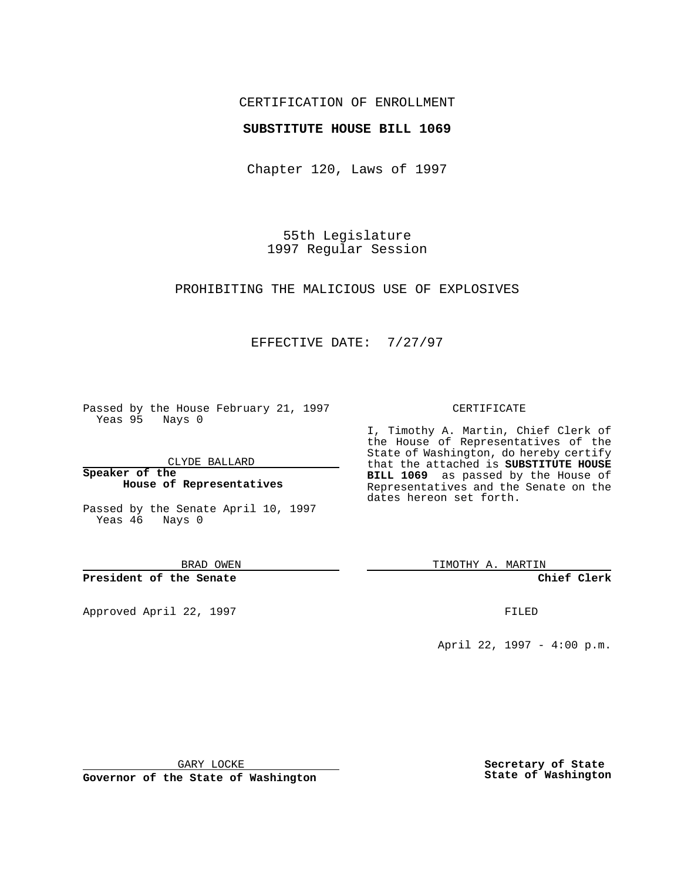## CERTIFICATION OF ENROLLMENT

### **SUBSTITUTE HOUSE BILL 1069**

Chapter 120, Laws of 1997

55th Legislature 1997 Regular Session

PROHIBITING THE MALICIOUS USE OF EXPLOSIVES

# EFFECTIVE DATE: 7/27/97

Passed by the House February 21, 1997 Yeas 95 Nays 0

CLYDE BALLARD

**Speaker of the House of Representatives**

Passed by the Senate April 10, 1997 Yeas 46 Nays 0

BRAD OWEN

**President of the Senate**

Approved April 22, 1997 **FILED** 

#### CERTIFICATE

I, Timothy A. Martin, Chief Clerk of the House of Representatives of the State of Washington, do hereby certify that the attached is **SUBSTITUTE HOUSE BILL 1069** as passed by the House of Representatives and the Senate on the dates hereon set forth.

TIMOTHY A. MARTIN

**Chief Clerk**

April 22, 1997 - 4:00 p.m.

GARY LOCKE

**Governor of the State of Washington**

**Secretary of State State of Washington**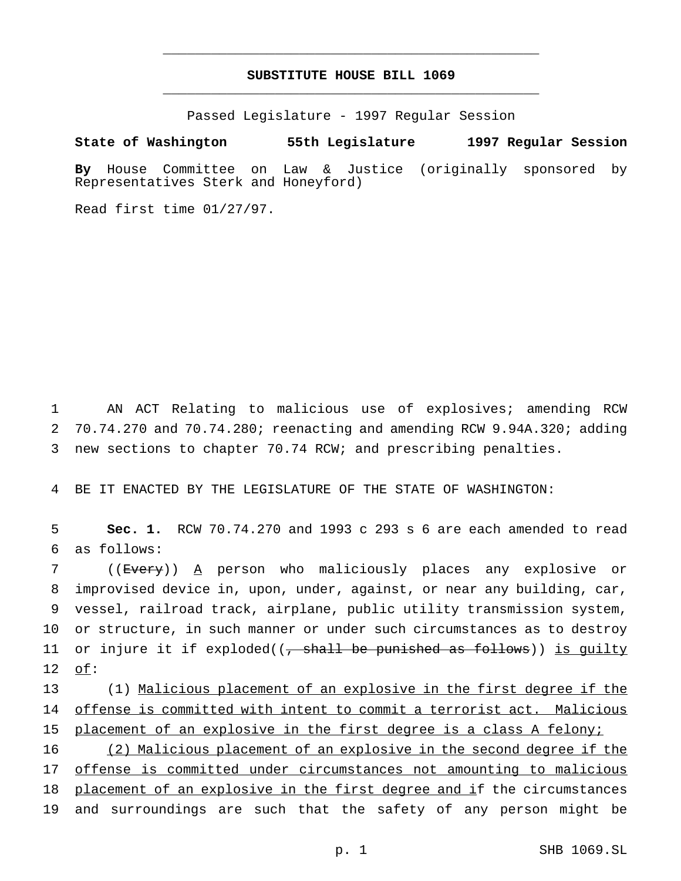# **SUBSTITUTE HOUSE BILL 1069** \_\_\_\_\_\_\_\_\_\_\_\_\_\_\_\_\_\_\_\_\_\_\_\_\_\_\_\_\_\_\_\_\_\_\_\_\_\_\_\_\_\_\_\_\_\_\_

\_\_\_\_\_\_\_\_\_\_\_\_\_\_\_\_\_\_\_\_\_\_\_\_\_\_\_\_\_\_\_\_\_\_\_\_\_\_\_\_\_\_\_\_\_\_\_

Passed Legislature - 1997 Regular Session

**State of Washington 55th Legislature 1997 Regular Session**

**By** House Committee on Law & Justice (originally sponsored by Representatives Sterk and Honeyford)

Read first time 01/27/97.

1 AN ACT Relating to malicious use of explosives; amending RCW 2 70.74.270 and 70.74.280; reenacting and amending RCW 9.94A.320; adding 3 new sections to chapter 70.74 RCW; and prescribing penalties.

4 BE IT ENACTED BY THE LEGISLATURE OF THE STATE OF WASHINGTON:

5 **Sec. 1.** RCW 70.74.270 and 1993 c 293 s 6 are each amended to read 6 as follows:

 ((Every)) A person who maliciously places any explosive or improvised device in, upon, under, against, or near any building, car, vessel, railroad track, airplane, public utility transmission system, or structure, in such manner or under such circumstances as to destroy 11 or injure it if exploded( $\left( \frac{1}{f} \right)$  shall be punished as follows)) is quilty 12 of:

13 (1) Malicious placement of an explosive in the first degree if the 14 offense is committed with intent to commit a terrorist act. Malicious 15 placement of an explosive in the first degree is a class A felony;

 (2) Malicious placement of an explosive in the second degree if the offense is committed under circumstances not amounting to malicious 18 placement of an explosive in the first degree and if the circumstances and surroundings are such that the safety of any person might be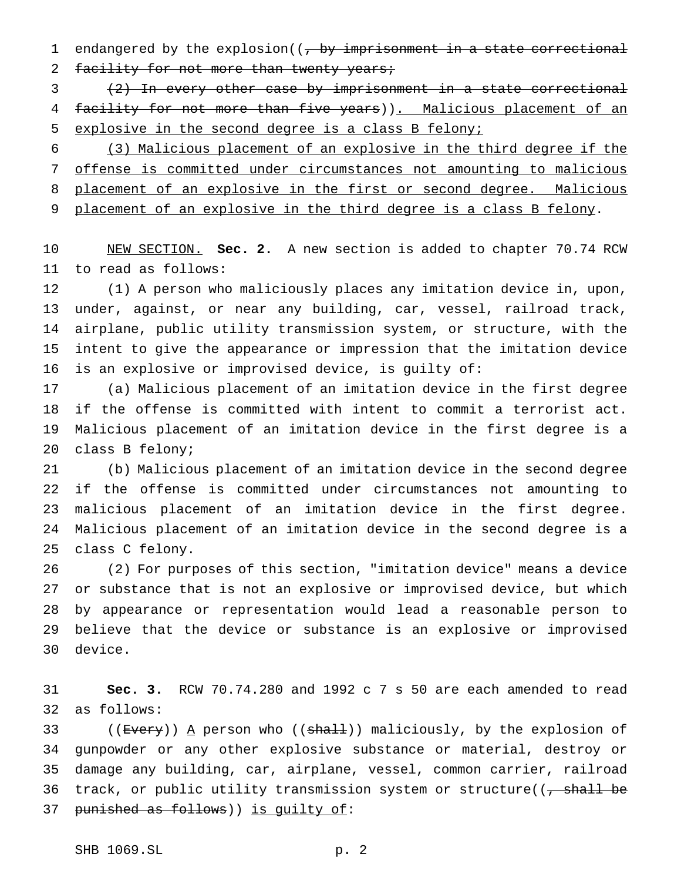1 endangered by the explosion( $\frac{1}{2}$  +  $\frac{1}{2}$  +  $\frac{1}{2}$  +  $\frac{1}{2}$  +  $\frac{1}{2}$  +  $\frac{1}{2}$  +  $\frac{1}{2}$  +  $\frac{1}{2}$  +  $\frac{1}{2}$  +  $\frac{1}{2}$  +  $\frac{1}{2}$  +  $\frac{1}{2}$  +  $\frac{1}{2}$  +  $\frac{1}{2}$  +  $\frac{1}{2}$  +  $\frac{1}{2}$  + 2 facility for not more than twenty years;

 (2) In every other case by imprisonment in a state correctional 4 facility for not more than five years)). Malicious placement of an explosive in the second degree is a class B felony;

 (3) Malicious placement of an explosive in the third degree if the offense is committed under circumstances not amounting to malicious 8 placement of an explosive in the first or second degree. Malicious 9 placement of an explosive in the third degree is a class B felony.

 NEW SECTION. **Sec. 2.** A new section is added to chapter 70.74 RCW to read as follows:

 (1) A person who maliciously places any imitation device in, upon, under, against, or near any building, car, vessel, railroad track, airplane, public utility transmission system, or structure, with the intent to give the appearance or impression that the imitation device is an explosive or improvised device, is guilty of:

 (a) Malicious placement of an imitation device in the first degree if the offense is committed with intent to commit a terrorist act. Malicious placement of an imitation device in the first degree is a class B felony;

 (b) Malicious placement of an imitation device in the second degree if the offense is committed under circumstances not amounting to malicious placement of an imitation device in the first degree. Malicious placement of an imitation device in the second degree is a class C felony.

 (2) For purposes of this section, "imitation device" means a device or substance that is not an explosive or improvised device, but which by appearance or representation would lead a reasonable person to believe that the device or substance is an explosive or improvised device.

 **Sec. 3.** RCW 70.74.280 and 1992 c 7 s 50 are each amended to read as follows:

33 ((<del>Every</del>)) <u>A</u> person who ((<del>shall</del>)) maliciously, by the explosion of gunpowder or any other explosive substance or material, destroy or damage any building, car, airplane, vessel, common carrier, railroad 36 track, or public utility transmission system or structure((, shall be 37 punished as follows)) is quilty of: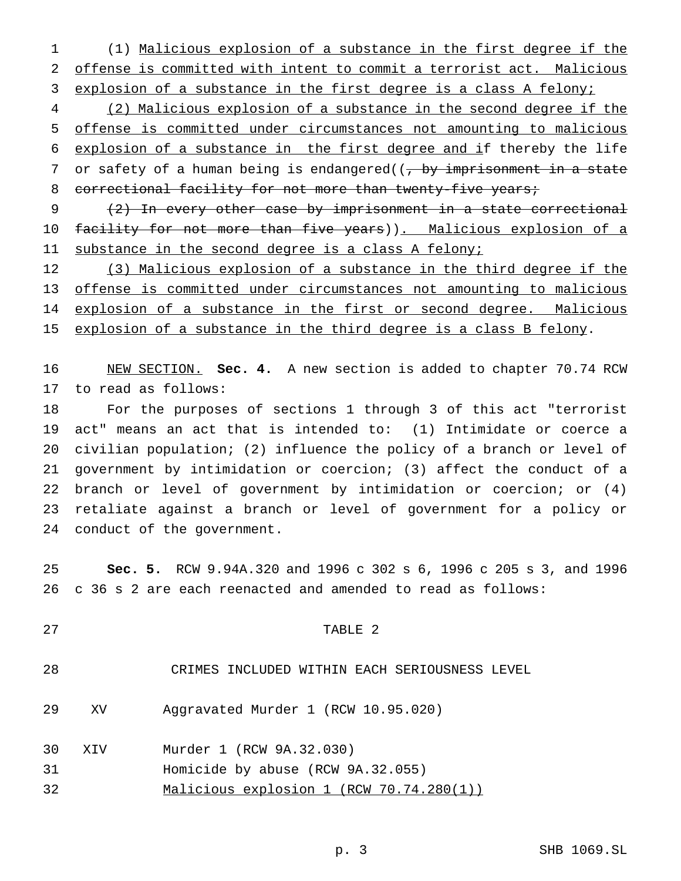(1) Malicious explosion of a substance in the first degree if the offense is committed with intent to commit a terrorist act. Malicious 3 explosion of a substance in the first degree is a class A felony;

 (2) Malicious explosion of a substance in the second degree if the offense is committed under circumstances not amounting to malicious explosion of a substance in the first degree and if thereby the life 7 or safety of a human being is endangered( $\frac{7}{7}$  by imprisonment in a state 8 correctional facility for not more than twenty-five years;

 (2) In every other case by imprisonment in a state correctional 10 facility for not more than five years)). Malicious explosion of a 11 substance in the second degree is a class A felony;

12 (3) Malicious explosion of a substance in the third degree if the offense is committed under circumstances not amounting to malicious 14 explosion of a substance in the first or second degree. Malicious 15 explosion of a substance in the third degree is a class B felony.

 NEW SECTION. **Sec. 4.** A new section is added to chapter 70.74 RCW to read as follows:

 For the purposes of sections 1 through 3 of this act "terrorist act" means an act that is intended to: (1) Intimidate or coerce a civilian population; (2) influence the policy of a branch or level of government by intimidation or coercion; (3) affect the conduct of a branch or level of government by intimidation or coercion; or (4) retaliate against a branch or level of government for a policy or conduct of the government.

 **Sec. 5.** RCW 9.94A.320 and 1996 c 302 s 6, 1996 c 205 s 3, and 1996 c 36 s 2 are each reenacted and amended to read as follows:

# TABLE 2

CRIMES INCLUDED WITHIN EACH SERIOUSNESS LEVEL

XV Aggravated Murder 1 (RCW 10.95.020)

XIV Murder 1 (RCW 9A.32.030)

- Homicide by abuse (RCW 9A.32.055)
- Malicious explosion 1 (RCW 70.74.280(1))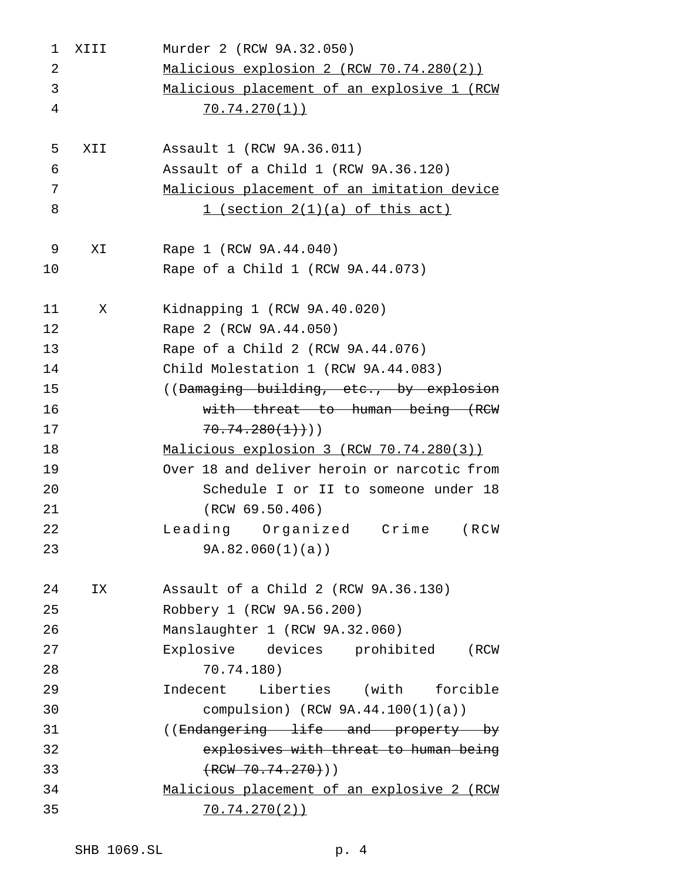| 1  | XIII | Murder 2 (RCW 9A.32.050)                    |
|----|------|---------------------------------------------|
| 2  |      | Malicious explosion 2 (RCW 70.74.280(2))    |
| 3  |      | Malicious placement of an explosive 1 (RCW  |
| 4  |      | 70.74.270(1)                                |
|    |      |                                             |
| 5  | XII  | Assault 1 (RCW 9A.36.011)                   |
| 6  |      | Assault of a Child 1 (RCW 9A.36.120)        |
| 7  |      | Malicious placement of an imitation device  |
| 8  |      | 1 (section 2(1)(a) of this act)             |
| 9  | XI.  | Rape 1 (RCW 9A.44.040)                      |
| 10 |      | Rape of a Child 1 (RCW 9A.44.073)           |
| 11 | X    | Kidnapping 1 (RCW 9A.40.020)                |
| 12 |      | Rape 2 (RCW 9A.44.050)                      |
| 13 |      | Rape of a Child 2 (RCW 9A.44.076)           |
| 14 |      | Child Molestation 1 (RCW 9A.44.083)         |
| 15 |      | ((Damaging building, etc., by explosion     |
| 16 |      | with threat to human being (RCW             |
| 17 |      | $70.74.280(1)$ )                            |
| 18 |      | Malicious explosion 3 (RCW 70.74.280(3))    |
| 19 |      | Over 18 and deliver heroin or narcotic from |
| 20 |      | Schedule I or II to someone under 18        |
| 21 |      | (RCW 69.50.406)                             |
| 22 |      | Leading Organized Crime (RCW                |
| 23 |      | 9A.82.060(1)(a)                             |
| 24 | ΙX   | Assault of a Child 2 (RCW 9A.36.130)        |
| 25 |      | Robbery 1 (RCW 9A.56.200)                   |
| 26 |      | Manslaughter 1 (RCW 9A.32.060)              |
| 27 |      | Explosive devices prohibited<br>(RCW        |
| 28 |      | 70.74.180)                                  |
| 29 |      | Indecent Liberties (with forcible           |
| 30 |      | compulsion) $(RCW 9A.44.100(1)(a))$         |
| 31 |      | ((Endangering life and property by          |
| 32 |      | explosives with threat to human being       |
| 33 |      | $(RCW 70.74.270)$ )                         |
| 34 |      | Malicious placement of an explosive 2 (RCW  |
| 35 |      | 70.74.270(2)                                |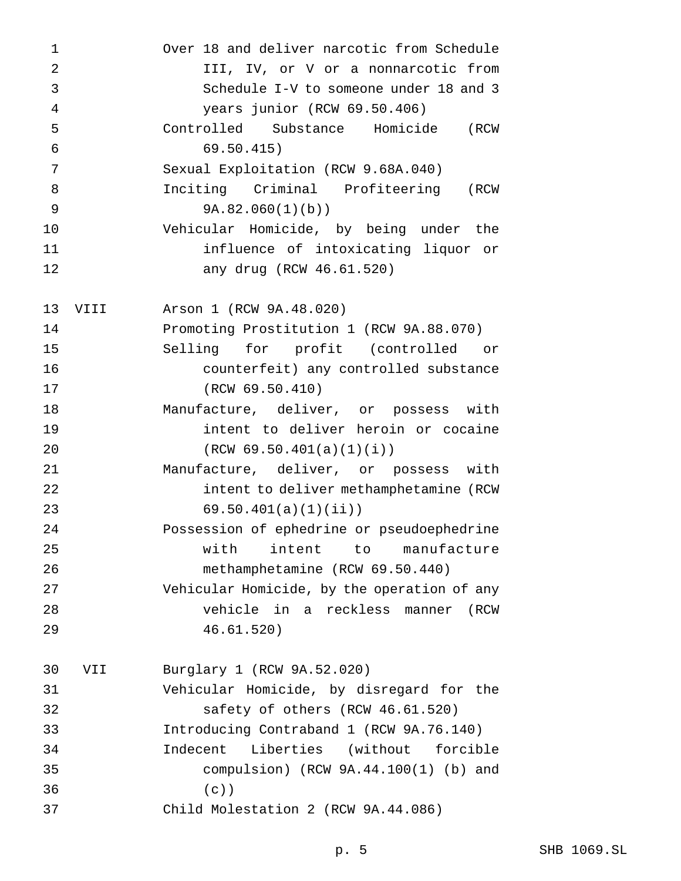| 1              |      | Over 18 and deliver narcotic from Schedule  |  |  |  |  |  |
|----------------|------|---------------------------------------------|--|--|--|--|--|
| $\overline{2}$ |      | III, IV, or V or a nonnarcotic from         |  |  |  |  |  |
| 3              |      | Schedule I-V to someone under 18 and 3      |  |  |  |  |  |
| 4              |      | years junior (RCW 69.50.406)                |  |  |  |  |  |
| 5              |      | Controlled Substance Homicide<br>(RCW       |  |  |  |  |  |
| 6              |      | 69.50.415)                                  |  |  |  |  |  |
| 7              |      | Sexual Exploitation (RCW 9.68A.040)         |  |  |  |  |  |
| 8              |      | Inciting Criminal Profiteering<br>(RCW      |  |  |  |  |  |
| 9              |      | 9A.82.060(1)(b)                             |  |  |  |  |  |
| 10             |      | Vehicular Homicide, by being under the      |  |  |  |  |  |
| 11             |      | influence of intoxicating liquor or         |  |  |  |  |  |
| 12             |      | any drug (RCW 46.61.520)                    |  |  |  |  |  |
| 13             | VIII | Arson 1 (RCW 9A.48.020)                     |  |  |  |  |  |
| 14             |      | Promoting Prostitution 1 (RCW 9A.88.070)    |  |  |  |  |  |
| 15             |      | Selling for profit (controlled<br>or        |  |  |  |  |  |
| 16             |      | counterfeit) any controlled substance       |  |  |  |  |  |
| 17             |      | (RCW 69.50.410)                             |  |  |  |  |  |
| 18             |      | Manufacture, deliver, or possess with       |  |  |  |  |  |
| 19             |      | intent to deliver heroin or cocaine         |  |  |  |  |  |
| 20             |      | (RCW 69.50.401(a)(1)(i))                    |  |  |  |  |  |
| 21             |      | Manufacture, deliver, or possess with       |  |  |  |  |  |
| 22             |      | intent to deliver methamphetamine (RCW      |  |  |  |  |  |
| 23             |      | 69.50.401(a)(1)(ii)                         |  |  |  |  |  |
| 24             |      | Possession of ephedrine or pseudoephedrine  |  |  |  |  |  |
| 25             |      | intent<br>to manufacture<br>with            |  |  |  |  |  |
| 26             |      | methamphetamine (RCW 69.50.440)             |  |  |  |  |  |
| 27             |      | Vehicular Homicide, by the operation of any |  |  |  |  |  |
| 28             |      | vehicle in a reckless<br>manner<br>(RCW     |  |  |  |  |  |
| 29             |      | 46.61.520)                                  |  |  |  |  |  |
| 30             | VII  | Burglary 1 (RCW 9A.52.020)                  |  |  |  |  |  |
| 31             |      | Vehicular Homicide, by disregard for the    |  |  |  |  |  |
| 32             |      | safety of others (RCW 46.61.520)            |  |  |  |  |  |
| 33             |      | Introducing Contraband 1 (RCW 9A.76.140)    |  |  |  |  |  |
| 34             |      | Liberties (without forcible<br>Indecent     |  |  |  |  |  |
| 35             |      | compulsion) (RCW $9A.44.100(1)$ (b) and     |  |  |  |  |  |
| 36             |      | $(c)$ )                                     |  |  |  |  |  |
| 37             |      | Child Molestation 2 (RCW 9A.44.086)         |  |  |  |  |  |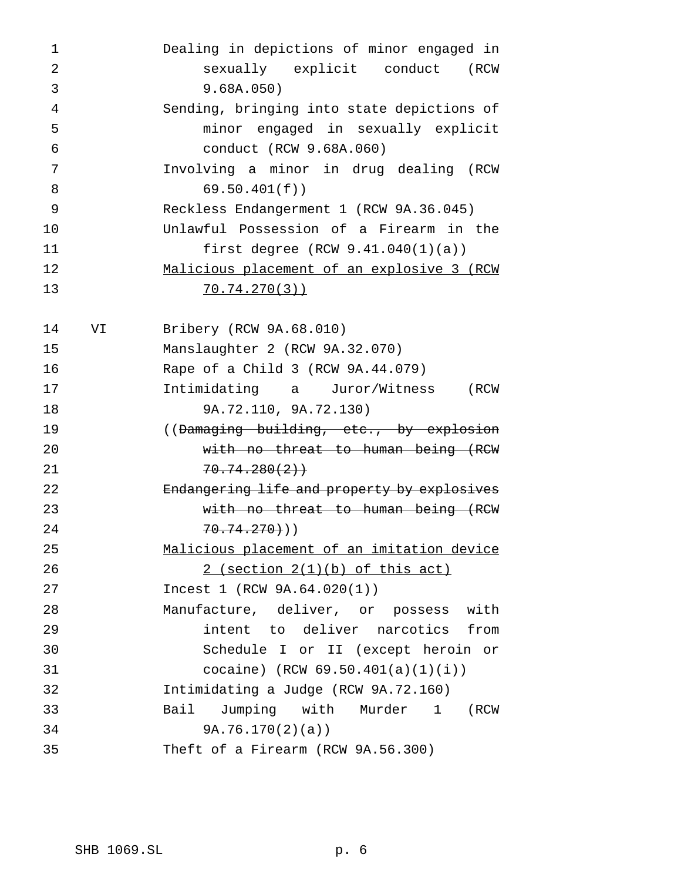| $\mathbf 1$    |    | Dealing in depictions of minor engaged in   |
|----------------|----|---------------------------------------------|
| $\overline{2}$ |    | sexually explicit conduct (RCW              |
| 3              |    | 9.68A.050)                                  |
| 4              |    | Sending, bringing into state depictions of  |
| 5              |    | minor engaged in sexually explicit          |
| 6              |    | conduct (RCW 9.68A.060)                     |
| 7              |    | Involving a minor in drug dealing (RCW      |
| 8              |    | 69.50.401(f)                                |
| 9              |    | Reckless Endangerment 1 (RCW 9A.36.045)     |
| 10             |    | Unlawful Possession of a Firearm in the     |
| 11             |    | first degree $(RCW 9.41.040(1)(a))$         |
| 12             |    | Malicious placement of an explosive 3 (RCW  |
| 13             |    | 70.74.270(3)                                |
|                |    |                                             |
| 14             | VI | Bribery (RCW 9A.68.010)                     |
| 15             |    | Manslaughter 2 (RCW 9A.32.070)              |
| 16             |    | Rape of a Child 3 (RCW 9A.44.079)           |
| 17             |    | Intimidating a Juror/Witness (RCW           |
| 18             |    | 9A.72.110, 9A.72.130)                       |
| 19             |    | ((Damaging building, etc., by explosion     |
| 20             |    | with no threat to human being (RCW          |
| 21             |    | 70.74.280(2)                                |
| 22             |    | Endangering life and property by explosives |
| 23             |    | with no threat to human being (RCW          |
| 24             |    | $70.74.270)$ )                              |
| 25             |    | Malicious placement of an imitation device  |
| 26             |    | $2$ (section $2(1)(b)$ of this act)         |
| 27             |    | Incest 1 (RCW 9A.64.020(1))                 |
| 28             |    | Manufacture, deliver, or possess with       |
| 29             |    | intent to deliver narcotics from            |
| 30             |    | Schedule I or II (except heroin or          |
| 31             |    | cocaine) (RCW $69.50.401(a)(1)(i)$ )        |
| 32             |    | Intimidating a Judge (RCW 9A.72.160)        |
| 33             |    | Jumping with Murder 1<br>Bail<br>(RCW       |
| 34             |    | 9A.76.170(2)(a)                             |
| 35             |    | Theft of a Firearm (RCW 9A.56.300)          |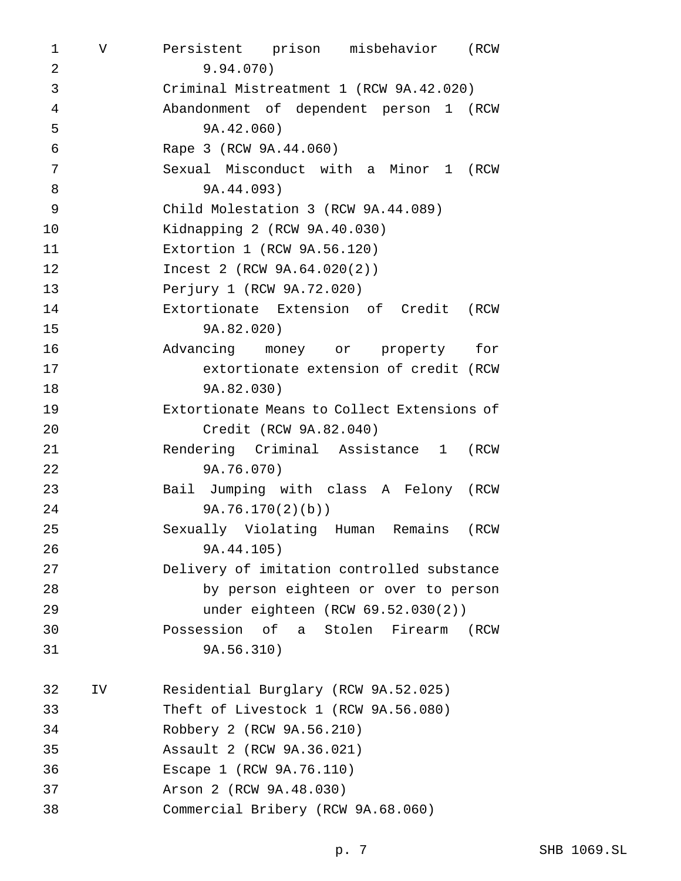V Persistent prison misbehavior (RCW 9.94.070) Criminal Mistreatment 1 (RCW 9A.42.020) Abandonment of dependent person 1 (RCW 9A.42.060) Rape 3 (RCW 9A.44.060) Sexual Misconduct with a Minor 1 (RCW 9A.44.093) Child Molestation 3 (RCW 9A.44.089) Kidnapping 2 (RCW 9A.40.030) Extortion 1 (RCW 9A.56.120) Incest 2 (RCW 9A.64.020(2)) Perjury 1 (RCW 9A.72.020) Extortionate Extension of Credit (RCW 9A.82.020) Advancing money or property for extortionate extension of credit (RCW 9A.82.030) Extortionate Means to Collect Extensions of Credit (RCW 9A.82.040) Rendering Criminal Assistance 1 (RCW 9A.76.070) Bail Jumping with class A Felony (RCW 9A.76.170(2)(b)) Sexually Violating Human Remains (RCW 9A.44.105) Delivery of imitation controlled substance by person eighteen or over to person under eighteen (RCW 69.52.030(2)) Possession of a Stolen Firearm (RCW 9A.56.310) IV Residential Burglary (RCW 9A.52.025) Theft of Livestock 1 (RCW 9A.56.080) Robbery 2 (RCW 9A.56.210) Assault 2 (RCW 9A.36.021) Escape 1 (RCW 9A.76.110) Arson 2 (RCW 9A.48.030) Commercial Bribery (RCW 9A.68.060)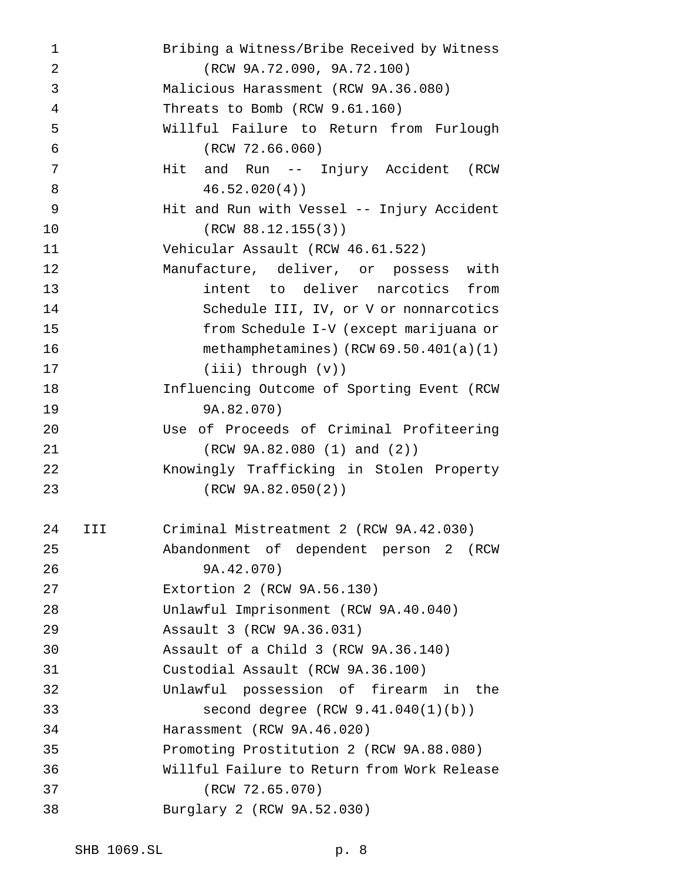Bribing a Witness/Bribe Received by Witness (RCW 9A.72.090, 9A.72.100) Malicious Harassment (RCW 9A.36.080) Threats to Bomb (RCW 9.61.160) Willful Failure to Return from Furlough (RCW 72.66.060) 7 Mit and Run -- Injury Accident (RCW 46.52.020(4)) Hit and Run with Vessel -- Injury Accident (RCW 88.12.155(3)) Vehicular Assault (RCW 46.61.522) Manufacture, deliver, or possess with intent to deliver narcotics from Schedule III, IV, or V or nonnarcotics from Schedule I-V (except marijuana or methamphetamines) (RCW 69.50.401(a)(1) (iii) through (v)) Influencing Outcome of Sporting Event (RCW 9A.82.070) Use of Proceeds of Criminal Profiteering (RCW 9A.82.080 (1) and (2)) Knowingly Trafficking in Stolen Property (RCW 9A.82.050(2)) III Criminal Mistreatment 2 (RCW 9A.42.030) Abandonment of dependent person 2 (RCW 9A.42.070) Extortion 2 (RCW 9A.56.130) Unlawful Imprisonment (RCW 9A.40.040) Assault 3 (RCW 9A.36.031) Assault of a Child 3 (RCW 9A.36.140) Custodial Assault (RCW 9A.36.100) Unlawful possession of firearm in the second degree (RCW 9.41.040(1)(b)) Harassment (RCW 9A.46.020) Promoting Prostitution 2 (RCW 9A.88.080) Willful Failure to Return from Work Release (RCW 72.65.070) Burglary 2 (RCW 9A.52.030)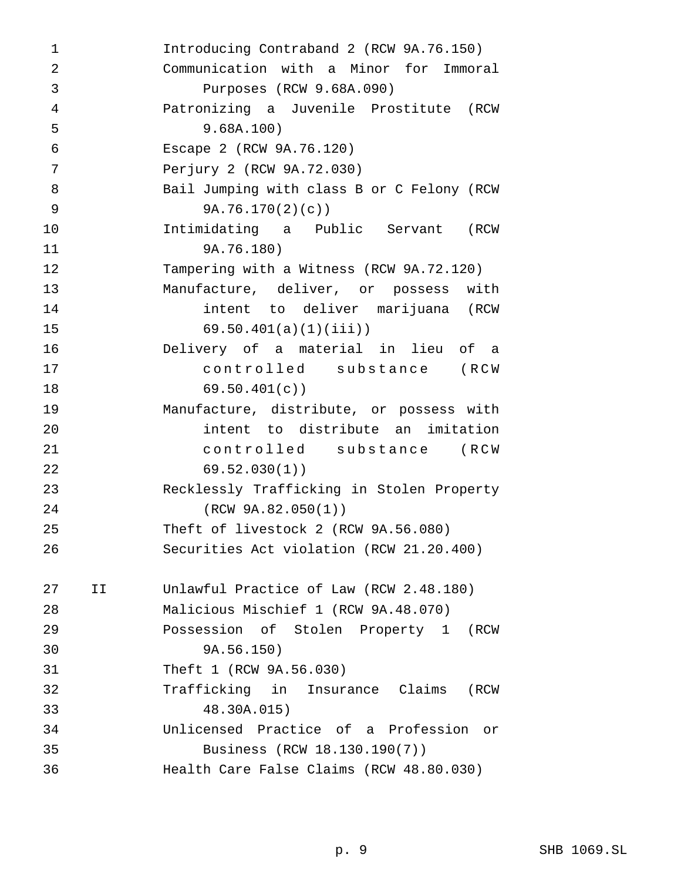Introducing Contraband 2 (RCW 9A.76.150) Communication with a Minor for Immoral Purposes (RCW 9.68A.090) Patronizing a Juvenile Prostitute (RCW 9.68A.100) Escape 2 (RCW 9A.76.120) Perjury 2 (RCW 9A.72.030) 8 Bail Jumping with class B or C Felony (RCW 9A.76.170(2)(c)) Intimidating a Public Servant (RCW 9A.76.180) Tampering with a Witness (RCW 9A.72.120) Manufacture, deliver, or possess with intent to deliver marijuana (RCW 69.50.401(a)(1)(iii)) Delivery of a material in lieu of a controlled substance (RCW 69.50.401(c)) Manufacture, distribute, or possess with intent to distribute an imitation controlled substance (RCW 69.52.030(1)) Recklessly Trafficking in Stolen Property (RCW 9A.82.050(1)) Theft of livestock 2 (RCW 9A.56.080) Securities Act violation (RCW 21.20.400) II Unlawful Practice of Law (RCW 2.48.180) Malicious Mischief 1 (RCW 9A.48.070) Possession of Stolen Property 1 (RCW 9A.56.150) Theft 1 (RCW 9A.56.030) Trafficking in Insurance Claims (RCW 48.30A.015) Unlicensed Practice of a Profession or Business (RCW 18.130.190(7)) Health Care False Claims (RCW 48.80.030)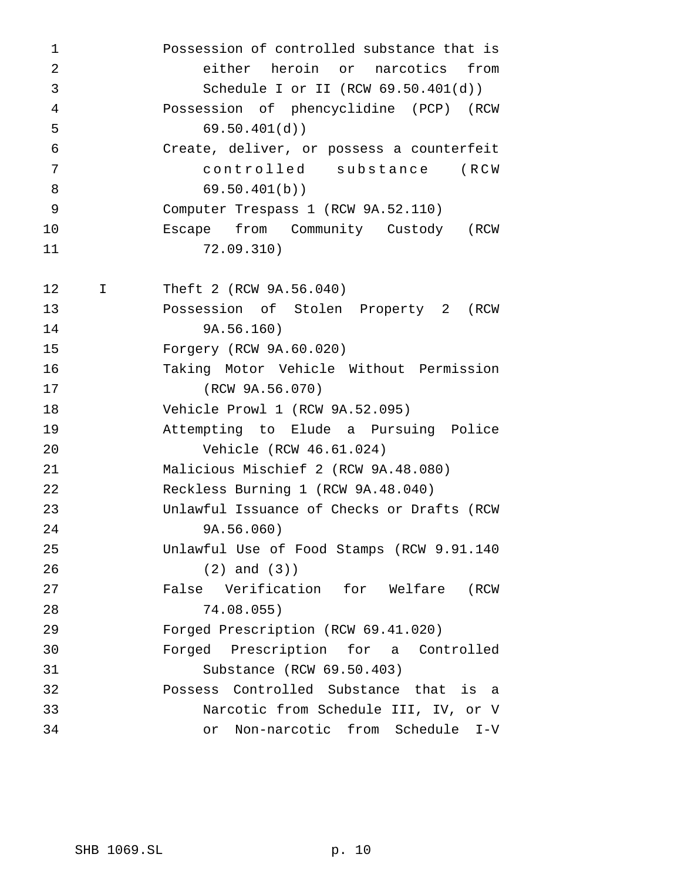| 1              |    | Possession of controlled substance that is |
|----------------|----|--------------------------------------------|
| $\overline{2}$ |    | either heroin or narcotics from            |
| 3              |    | Schedule I or II (RCW $69.50.401(d)$ )     |
| $\overline{4}$ |    | Possession of phencyclidine (PCP) (RCW     |
| 5              |    | 69.50.401(d)                               |
| 6              |    | Create, deliver, or possess a counterfeit  |
| 7              |    | controlled substance (RCW                  |
| 8              |    | 69.50.401(b)                               |
| 9              |    | Computer Trespass 1 (RCW 9A.52.110)        |
| 10             |    | Escape from Community Custody (RCW         |
| 11             |    | 72.09.310)                                 |
|                |    |                                            |
| 12             | Ι. | Theft 2 (RCW 9A.56.040)                    |
| 13             |    | Possession of Stolen Property 2 (RCW       |
| 14             |    | 9A.56.160)                                 |
| 15             |    | Forgery (RCW 9A.60.020)                    |
| 16             |    | Taking Motor Vehicle Without Permission    |
| 17             |    | (RCW 9A.56.070)                            |
| 18             |    | Vehicle Prowl 1 (RCW 9A.52.095)            |
| 19             |    | Attempting to Elude a Pursuing Police      |
| 20             |    | Vehicle (RCW 46.61.024)                    |
| 21             |    | Malicious Mischief 2 (RCW 9A.48.080)       |
| 22             |    | Reckless Burning 1 (RCW 9A.48.040)         |
| 23             |    | Unlawful Issuance of Checks or Drafts (RCW |
| 24             |    | 9A.56.060)                                 |
| 25             |    | Unlawful Use of Food Stamps (RCW 9.91.140  |
| 26             |    | $(2)$ and $(3)$ )                          |
| 27             |    | False Verification for Welfare (RCW        |
| 28             |    | 74.08.055)                                 |
| 29             |    | Forged Prescription (RCW 69.41.020)        |
| 30             |    | Forged Prescription for a Controlled       |
| 31             |    | Substance (RCW 69.50.403)                  |
| 32             |    | Possess Controlled Substance that<br>is a  |
| 33             |    | Narcotic from Schedule III, IV, or V       |
| 34             |    | Non-narcotic from Schedule I-V<br>or       |
|                |    |                                            |